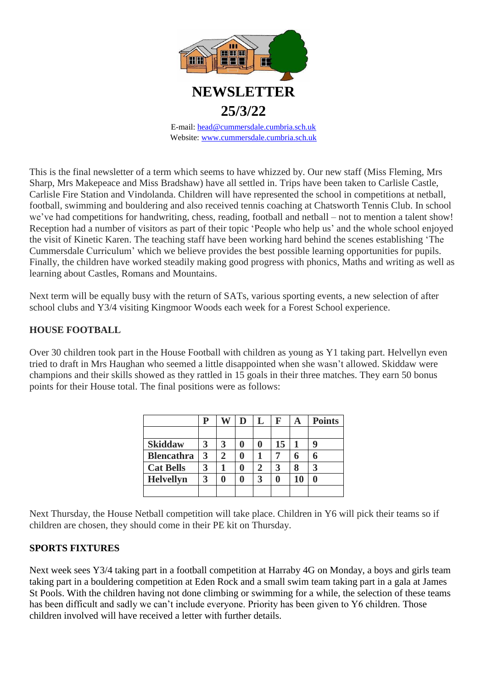

Website: [www.cummersdale.cumbria.sch.uk](http://www.cummersdale.cumbria.sch.uk/)

This is the final newsletter of a term which seems to have whizzed by. Our new staff (Miss Fleming, Mrs Sharp, Mrs Makepeace and Miss Bradshaw) have all settled in. Trips have been taken to Carlisle Castle, Carlisle Fire Station and Vindolanda. Children will have represented the school in competitions at netball, football, swimming and bouldering and also received tennis coaching at Chatsworth Tennis Club. In school we've had competitions for handwriting, chess, reading, football and netball – not to mention a talent show! Reception had a number of visitors as part of their topic 'People who help us' and the whole school enjoyed the visit of Kinetic Karen. The teaching staff have been working hard behind the scenes establishing 'The Cummersdale Curriculum' which we believe provides the best possible learning opportunities for pupils. Finally, the children have worked steadily making good progress with phonics, Maths and writing as well as learning about Castles, Romans and Mountains.

Next term will be equally busy with the return of SATs, various sporting events, a new selection of after school clubs and Y3/4 visiting Kingmoor Woods each week for a Forest School experience.

## **HOUSE FOOTBALL**

Over 30 children took part in the House Football with children as young as Y1 taking part. Helvellyn even tried to draft in Mrs Haughan who seemed a little disappointed when she wasn't allowed. Skiddaw were champions and their skills showed as they rattled in 15 goals in their three matches. They earn 50 bonus points for their House total. The final positions were as follows:

|                   | P |   | D |   | $\mathbf F$ | A  | <b>Points</b> |
|-------------------|---|---|---|---|-------------|----|---------------|
|                   |   |   |   |   |             |    |               |
| <b>Skiddaw</b>    |   | 3 |   |   | 15          |    | 9             |
| <b>Blencathra</b> | 3 | 2 |   |   | 7           | 6  | 6             |
| <b>Cat Bells</b>  |   |   |   |   | 3           |    | 3             |
| <b>Helvellyn</b>  | 3 | A |   | 3 | A           | 10 | A             |
|                   |   |   |   |   |             |    |               |

Next Thursday, the House Netball competition will take place. Children in Y6 will pick their teams so if children are chosen, they should come in their PE kit on Thursday.

#### **SPORTS FIXTURES**

Next week sees Y3/4 taking part in a football competition at Harraby 4G on Monday, a boys and girls team taking part in a bouldering competition at Eden Rock and a small swim team taking part in a gala at James St Pools. With the children having not done climbing or swimming for a while, the selection of these teams has been difficult and sadly we can't include everyone. Priority has been given to Y6 children. Those children involved will have received a letter with further details.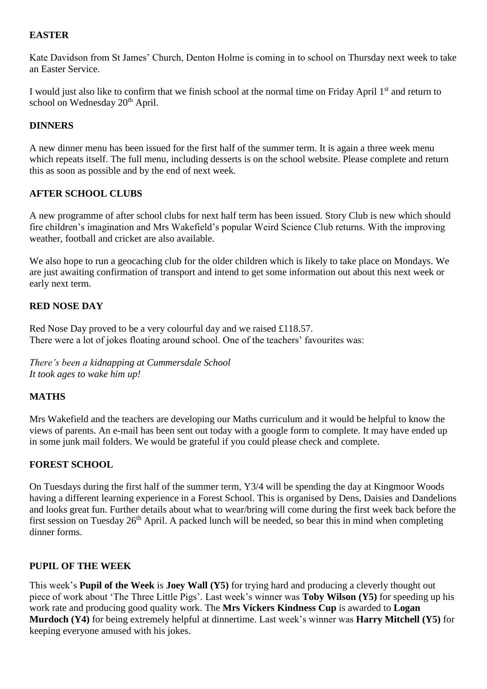### **EASTER**

Kate Davidson from St James' Church, Denton Holme is coming in to school on Thursday next week to take an Easter Service.

I would just also like to confirm that we finish school at the normal time on Friday April 1<sup>st</sup> and return to school on Wednesday 20<sup>th</sup> April.

## **DINNERS**

A new dinner menu has been issued for the first half of the summer term. It is again a three week menu which repeats itself. The full menu, including desserts is on the school website. Please complete and return this as soon as possible and by the end of next week.

## **AFTER SCHOOL CLUBS**

A new programme of after school clubs for next half term has been issued. Story Club is new which should fire children's imagination and Mrs Wakefield's popular Weird Science Club returns. With the improving weather, football and cricket are also available.

We also hope to run a geocaching club for the older children which is likely to take place on Mondays. We are just awaiting confirmation of transport and intend to get some information out about this next week or early next term.

#### **RED NOSE DAY**

Red Nose Day proved to be a very colourful day and we raised £118.57. There were a lot of jokes floating around school. One of the teachers' favourites was:

*There's been a kidnapping at Cummersdale School It took ages to wake him up!*

# **MATHS**

Mrs Wakefield and the teachers are developing our Maths curriculum and it would be helpful to know the views of parents. An e-mail has been sent out today with a google form to complete. It may have ended up in some junk mail folders. We would be grateful if you could please check and complete.

#### **FOREST SCHOOL**

On Tuesdays during the first half of the summer term, Y3/4 will be spending the day at Kingmoor Woods having a different learning experience in a Forest School. This is organised by Dens, Daisies and Dandelions and looks great fun. Further details about what to wear/bring will come during the first week back before the first session on Tuesday  $26<sup>th</sup>$  April. A packed lunch will be needed, so bear this in mind when completing dinner forms.

#### **PUPIL OF THE WEEK**

This week's **Pupil of the Week** is **Joey Wall (Y5)** for trying hard and producing a cleverly thought out piece of work about 'The Three Little Pigs'. Last week's winner was **Toby Wilson (Y5)** for speeding up his work rate and producing good quality work. The **Mrs Vickers Kindness Cup** is awarded to **Logan Murdoch (Y4)** for being extremely helpful at dinnertime. Last week's winner was **Harry Mitchell (Y5)** for keeping everyone amused with his jokes.